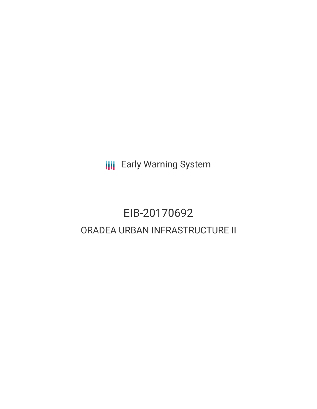**III** Early Warning System

# EIB-20170692 ORADEA URBAN INFRASTRUCTURE II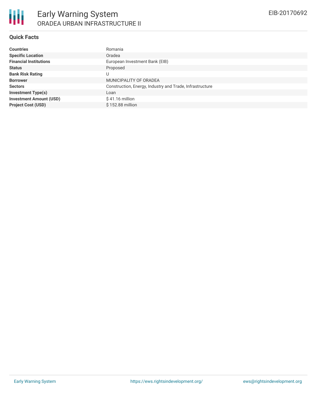### **Quick Facts**

| <b>Countries</b>               | Romania                                                  |
|--------------------------------|----------------------------------------------------------|
| <b>Specific Location</b>       | Oradea                                                   |
| <b>Financial Institutions</b>  | European Investment Bank (EIB)                           |
| <b>Status</b>                  | Proposed                                                 |
| <b>Bank Risk Rating</b>        | U                                                        |
| <b>Borrower</b>                | MUNICIPALITY OF ORADEA                                   |
| <b>Sectors</b>                 | Construction, Energy, Industry and Trade, Infrastructure |
| <b>Investment Type(s)</b>      | Loan                                                     |
| <b>Investment Amount (USD)</b> | $$41.16$ million                                         |
| <b>Project Cost (USD)</b>      | $$152.88$ million                                        |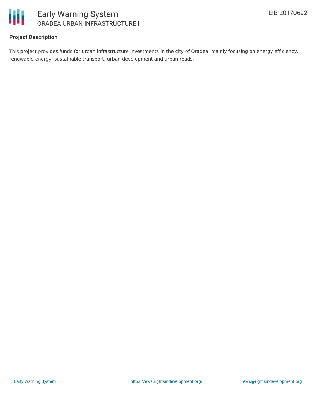

### **Project Description**

This project provides funds for urban infrastructure investments in the city of Oradea, mainly focusing on energy efficiency, renewable energy, sustainable transport, urban development and urban roads.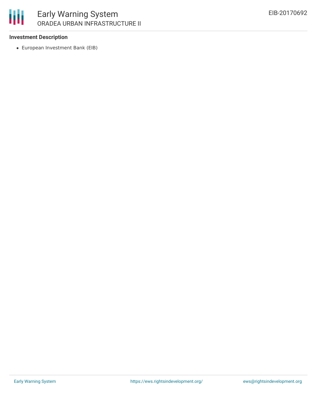

## Early Warning System ORADEA URBAN INFRASTRUCTURE II

### **Investment Description**

European Investment Bank (EIB)